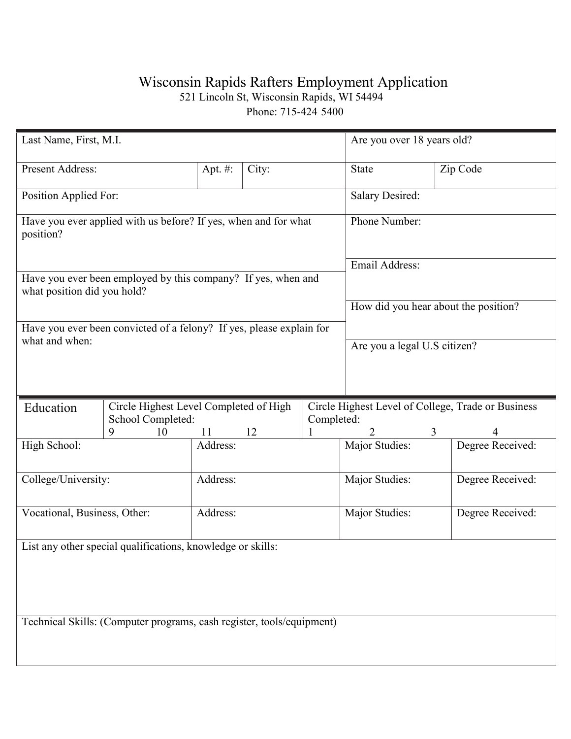## Wisconsin Rapids Rafters Employment Application

521 Lincoln St, Wisconsin Rapids, WI 54494

Phone: 715-424 5400

| Last Name, First, M.I.                                                |                                                                           | Are you over 18 years old?           |       |                |                                                    |                     |  |  |  |
|-----------------------------------------------------------------------|---------------------------------------------------------------------------|--------------------------------------|-------|----------------|----------------------------------------------------|---------------------|--|--|--|
| Present Address:                                                      |                                                                           | Apt. #:                              | City: |                | State                                              | Zip Code            |  |  |  |
| Position Applied For:                                                 |                                                                           |                                      |       |                | Salary Desired:                                    |                     |  |  |  |
| position?                                                             | Have you ever applied with us before? If yes, when and for what           | Phone Number:                        |       |                |                                                    |                     |  |  |  |
|                                                                       |                                                                           | Email Address:                       |       |                |                                                    |                     |  |  |  |
| what position did you hold?                                           | Have you ever been employed by this company? If yes, when and             |                                      |       |                |                                                    |                     |  |  |  |
|                                                                       |                                                                           | How did you hear about the position? |       |                |                                                    |                     |  |  |  |
| what and when:                                                        | Have you ever been convicted of a felony? If yes, please explain for      | Are you a legal U.S citizen?         |       |                |                                                    |                     |  |  |  |
|                                                                       |                                                                           |                                      |       |                |                                                    |                     |  |  |  |
|                                                                       |                                                                           |                                      |       |                |                                                    |                     |  |  |  |
| Education                                                             | Circle Highest Level Completed of High<br>School Completed:<br>Completed: |                                      |       |                | Circle Highest Level of College, Trade or Business |                     |  |  |  |
|                                                                       | 9<br>10                                                                   | 11                                   | 12    |                | 2                                                  | 3<br>$\overline{4}$ |  |  |  |
| High School:                                                          |                                                                           | Address:                             |       |                | Major Studies:                                     | Degree Received:    |  |  |  |
| College/University:                                                   |                                                                           | Address:                             |       |                | Major Studies:                                     | Degree Received:    |  |  |  |
| Vocational, Business, Other:                                          | Address:                                                                  |                                      |       | Major Studies: | Degree Received:                                   |                     |  |  |  |
| List any other special qualifications, knowledge or skills:           |                                                                           |                                      |       |                |                                                    |                     |  |  |  |
|                                                                       |                                                                           |                                      |       |                |                                                    |                     |  |  |  |
|                                                                       |                                                                           |                                      |       |                |                                                    |                     |  |  |  |
| Technical Skills: (Computer programs, cash register, tools/equipment) |                                                                           |                                      |       |                |                                                    |                     |  |  |  |
|                                                                       |                                                                           |                                      |       |                |                                                    |                     |  |  |  |